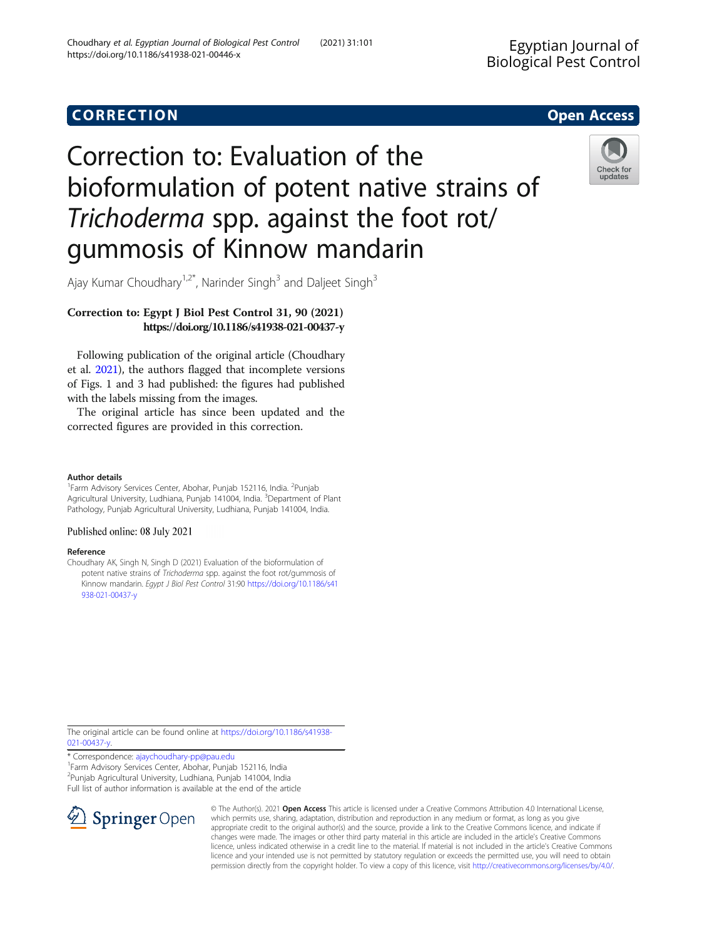# CORR EC TION Open [Access](http://crossmark.crossref.org/dialog/?doi=10.1186/s41938-021-00446-x&domain=pdf)

# Correction to: Evaluation of the bioformulation of potent native strains of Trichoderma spp. against the foot rot/ gummosis of Kinnow mandarin



Ajay Kumar Choudhary<sup>1,2\*</sup>, Narinder Singh<sup>3</sup> and Daljeet Singh<sup>3</sup>

# Correction to: Egypt J Biol Pest Control 31, 90 (2021) https://doi.org/10.1186/s41938-021-00437-y

Following publication of the original article (Choudhary et al. 2021), the authors flagged that incomplete versions of Figs. 1 and 3 had published: the figures had published with the labels missing from the images.

The original article has since been updated and the corrected figures are provided in this correction.

### Author details

<sup>1</sup> Farm Advisory Services Center, Abohar, Punjab 152116, India. <sup>2</sup> Punjab Agricultural University, Ludhiana, Punjab 141004, India. <sup>3</sup>Department of Plant Pathology, Punjab Agricultural University, Ludhiana, Punjab 141004, India.

## Published online: 08 July 2021

### Reference

Choudhary AK, Singh N, Singh D (2021) Evaluation of the bioformulation of potent native strains of Trichoderma spp. against the foot rot/gummosis of Kinnow mandarin. Egypt J Biol Pest Control 31:90 [https://doi.org/10.1186/s41](https://doi.org/10.1186/s41938-021-00437-y) [938-021-00437-y](https://doi.org/10.1186/s41938-021-00437-y)

The original article can be found online at [https://doi.org/10.1186/s41938-](https://doi.org/10.1186/s41938-021-00437-y) [021-00437-y](https://doi.org/10.1186/s41938-021-00437-y).

\* Correspondence: [ajaychoudhary-pp@pau.edu](mailto:ajaychoudhary-pp@pau.edu) <sup>1</sup>

<sup>1</sup>Farm Advisory Services Center, Abohar, Punjab 152116, India 2 Punjab Agricultural University, Ludhiana, Punjab 141004, India Full list of author information is available at the end of the article



© The Author(s). 2021 Open Access This article is licensed under a Creative Commons Attribution 4.0 International License, which permits use, sharing, adaptation, distribution and reproduction in any medium or format, as long as you give appropriate credit to the original author(s) and the source, provide a link to the Creative Commons licence, and indicate if changes were made. The images or other third party material in this article are included in the article's Creative Commons licence, unless indicated otherwise in a credit line to the material. If material is not included in the article's Creative Commons licence and your intended use is not permitted by statutory regulation or exceeds the permitted use, you will need to obtain permission directly from the copyright holder. To view a copy of this licence, visit <http://creativecommons.org/licenses/by/4.0/>.